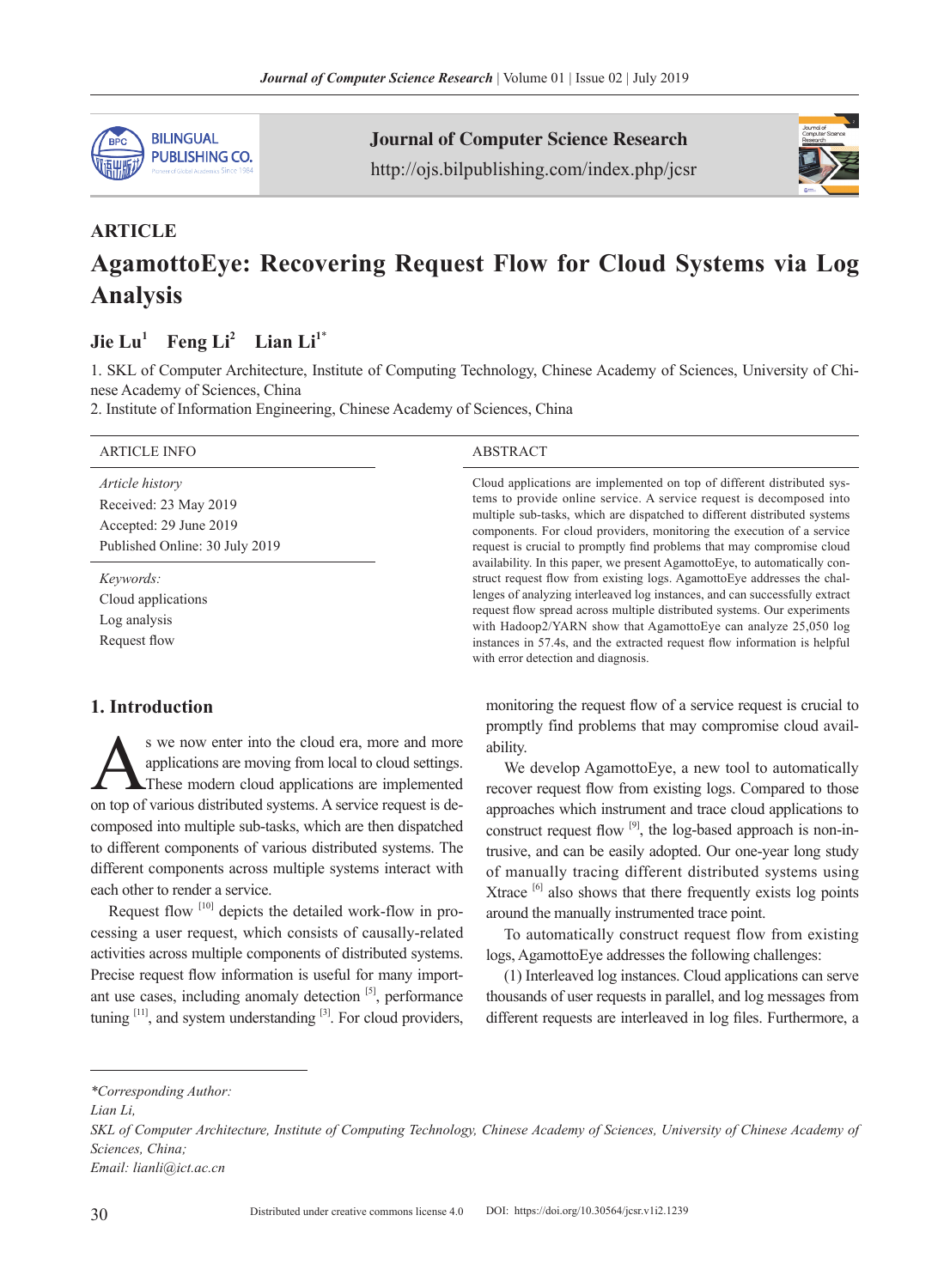

Journal of Computer Science Research http://ojs.bilpublishing.com/index.php/jcsr



# **ARTICLE AgamottoEye: Recovering Request Flow for Cloud Systems via Log Analysis**

## $Jie Lu<sup>1</sup>$  **Feng Li<sup>2</sup> Lian Li<sup>1\*</sup>**

1. SKL of Computer Architecture, Institute of Computing Technology, Chinese Academy of Sciences, University of Chinese Academy of Sciences, China

2. Institute of Information Engineering, Chinese Academy of Sciences, China

| <b>ARTICLE INFO</b>                                                                                         | <b>ABSTRACT</b>                                                                                                                                                                                                                                                                                                                                                                                                                                                                                                                                                                                                                                                                                                                                                                                                                                     |
|-------------------------------------------------------------------------------------------------------------|-----------------------------------------------------------------------------------------------------------------------------------------------------------------------------------------------------------------------------------------------------------------------------------------------------------------------------------------------------------------------------------------------------------------------------------------------------------------------------------------------------------------------------------------------------------------------------------------------------------------------------------------------------------------------------------------------------------------------------------------------------------------------------------------------------------------------------------------------------|
| <i>Article history</i><br>Received: 23 May 2019<br>Accepted: 29 June 2019<br>Published Online: 30 July 2019 | Cloud applications are implemented on top of different distributed sys-<br>tems to provide online service. A service request is decomposed into<br>multiple sub-tasks, which are dispatched to different distributed systems<br>components. For cloud providers, monitoring the execution of a service<br>request is crucial to promptly find problems that may compromise cloud<br>availability. In this paper, we present AgamottoEye, to automatically con-<br>struct request flow from existing logs. AgamottoEye addresses the chal-<br>lenges of analyzing interleaved log instances, and can successfully extract<br>request flow spread across multiple distributed systems. Our experiments<br>with Hadoop2/YARN show that AgamottoEye can analyze 25,050 log<br>instances in 57.4s, and the extracted request flow information is helpful |
| Keywords:<br>Cloud applications                                                                             |                                                                                                                                                                                                                                                                                                                                                                                                                                                                                                                                                                                                                                                                                                                                                                                                                                                     |
| Log analysis<br>Request flow                                                                                |                                                                                                                                                                                                                                                                                                                                                                                                                                                                                                                                                                                                                                                                                                                                                                                                                                                     |

with error detection and diagnosis.

## **1. Introduction**

s we now enter into the cloud era, more and more<br>applications are moving from local to cloud settings.<br>These modern cloud applications are implemented<br>on top of various distributed systems. A service request is deapplications are moving from local to cloud settings. These modern cloud applications are implemented on top of various distributed systems. A service request is decomposed into multiple sub-tasks, which are then dispatched to different components of various distributed systems. The different components across multiple systems interact with each other to render a service.

Request flow  $[10]$  depicts the detailed work-flow in processing a user request, which consists of causally-related activities across multiple components of distributed systems. Precise request flow information is useful for many important use cases, including anomaly detection [5], performance tuning  $[11]$ , and system understanding  $[3]$ . For cloud providers, monitoring the request flow of a service request is crucial to promptly find problems that may compromise cloud availability.

We develop AgamottoEye, a new tool to automatically recover request flow from existing logs. Compared to those approaches which instrument and trace cloud applications to construct request flow  $[9]$ , the log-based approach is non-intrusive, and can be easily adopted. Our one-year long study of manually tracing different distributed systems using Xtrace  $\left[6\right]$  also shows that there frequently exists log points around the manually instrumented trace point.

To automatically construct request flow from existing logs, AgamottoEye addresses the following challenges:

(1) Interleaved log instances. Cloud applications can serve thousands of user requests in parallel, and log messages from different requests are interleaved in log files. Furthermore, a

*<sup>\*</sup>Corresponding Author:*

*Lian Li,*

*SKL of Computer Architecture, Institute of Computing Technology, Chinese Academy of Sciences, University of Chinese Academy of Sciences, China;*

*Email: lianli@ict.ac.cn*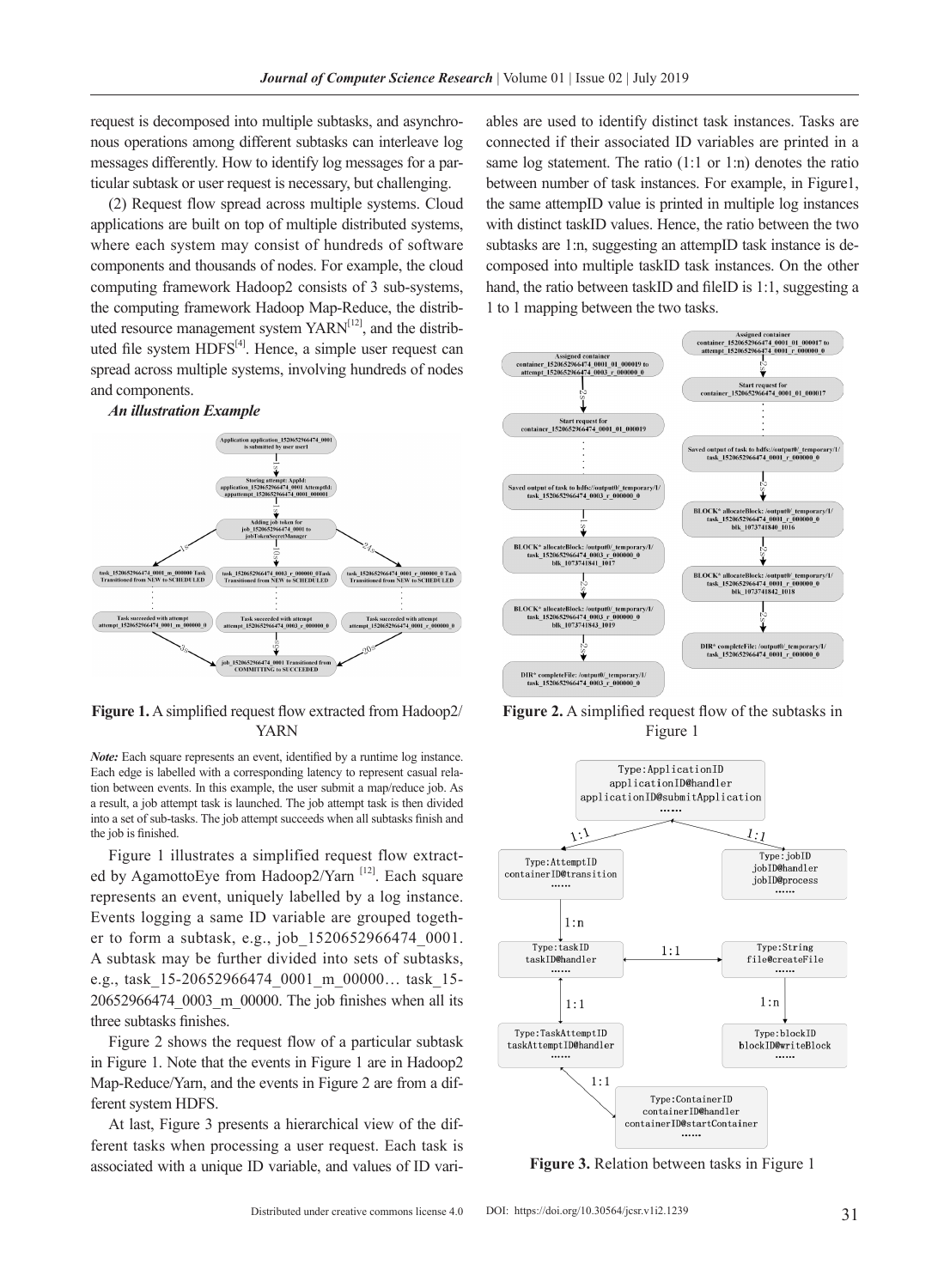request is decomposed into multiple subtasks, and asynchronous operations among different subtasks can interleave log messages differently. How to identify log messages for a particular subtask or user request is necessary, but challenging.

(2) Request flow spread across multiple systems. Cloud applications are built on top of multiple distributed systems, where each system may consist of hundreds of software components and thousands of nodes. For example, the cloud computing framework Hadoop2 consists of 3 sub-systems, the computing framework Hadoop Map-Reduce, the distributed resource management system  $YARN^{[12]}$ , and the distributed file system  $HDFS^{[4]}$ . Hence, a simple user request can spread across multiple systems, involving hundreds of nodes and components.



#### **Figure 1.** A simplified request flow extracted from Hadoop2/ YARN

*Note:* Each square represents an event, identified by a runtime log instance. Each edge is labelled with a corresponding latency to represent casual relation between events. In this example, the user submit a map/reduce job. As a result, a job attempt task is launched. The job attempt task is then divided into a set of sub-tasks. The job attempt succeeds when all subtasks finish and the job is finished.

Figure 1 illustrates a simplified request flow extracted by AgamottoEye from Hadoop2/Yarn [12]. Each square represents an event, uniquely labelled by a log instance. Events logging a same ID variable are grouped together to form a subtask, e.g., job\_1520652966474\_0001. A subtask may be further divided into sets of subtasks, e.g., task\_15-20652966474\_0001\_m\_00000… task\_15- 20652966474\_0003\_m\_00000. The job finishes when all its three subtasks finishes.

Figure 2 shows the request flow of a particular subtask in Figure 1. Note that the events in Figure 1 are in Hadoop2 Map-Reduce/Yarn, and the events in Figure 2 are from a different system HDFS.

At last, Figure 3 presents a hierarchical view of the different tasks when processing a user request. Each task is associated with a unique ID variable, and values of ID variables are used to identify distinct task instances. Tasks are connected if their associated ID variables are printed in a same log statement. The ratio (1:1 or 1:n) denotes the ratio between number of task instances. For example, in Figure1, the same attempID value is printed in multiple log instances with distinct taskID values. Hence, the ratio between the two subtasks are 1:n, suggesting an attempID task instance is decomposed into multiple taskID task instances. On the other hand, the ratio between taskID and fileID is 1:1, suggesting a 1 to 1 mapping between the two tasks.



**Figure 2.** A simplified request flow of the subtasks in Figure 1



**Figure 3.** Relation between tasks in Figure 1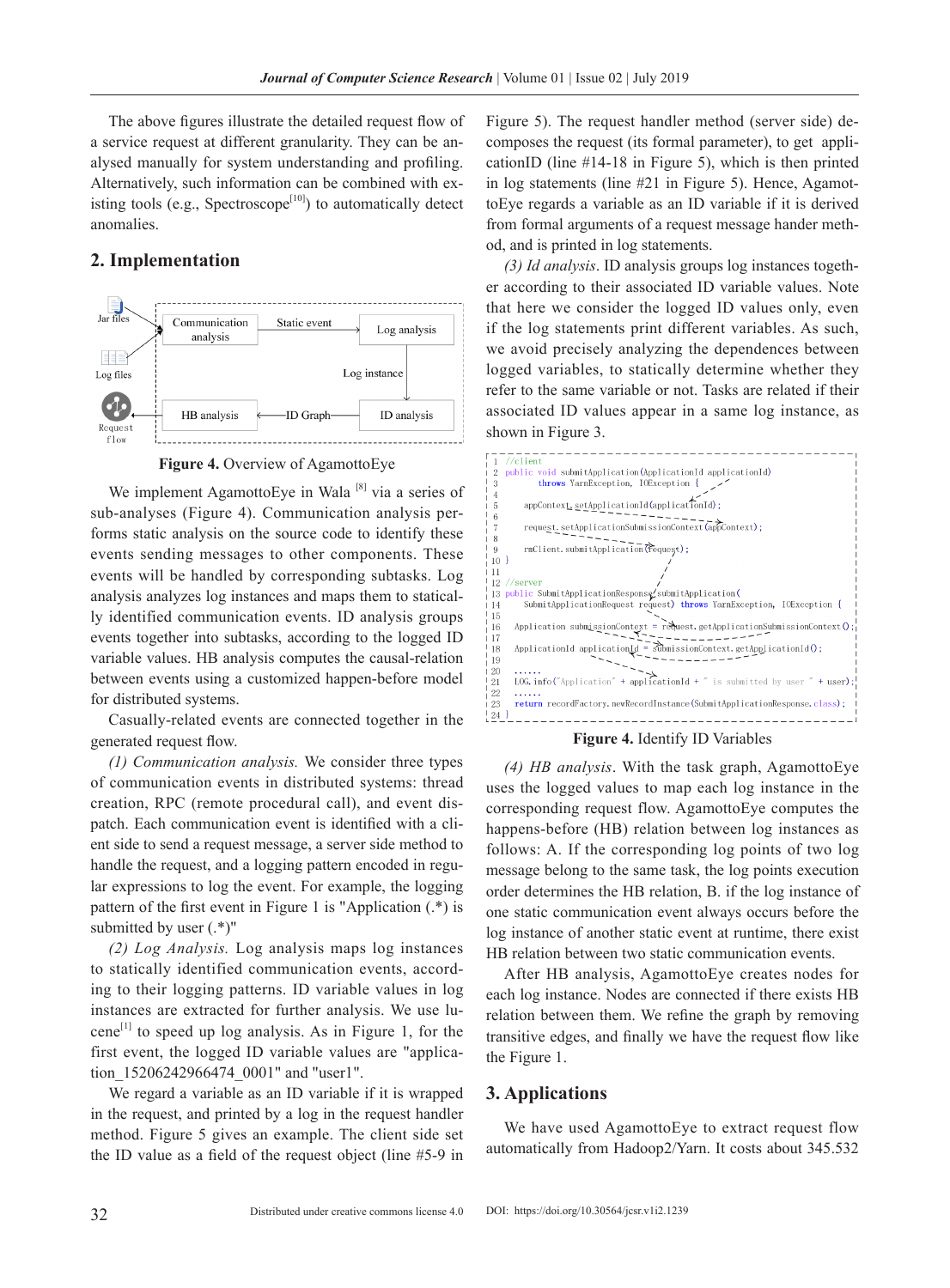The above figures illustrate the detailed request flow of a service request at different granularity. They can be analysed manually for system understanding and profiling. Alternatively, such information can be combined with existing tools (e.g., Spectroscope<sup>[10]</sup>) to automatically detect anomalies.

## **2. Implementation**



**Figure 4.** Overview of AgamottoEye

We implement AgamottoEye in Wala  $[8]$  via a series of sub-analyses (Figure 4). Communication analysis performs static analysis on the source code to identify these events sending messages to other components. These events will be handled by corresponding subtasks. Log analysis analyzes log instances and maps them to statically identified communication events. ID analysis groups events together into subtasks, according to the logged ID variable values. HB analysis computes the causal-relation between events using a customized happen-before model for distributed systems.

Casually-related events are connected together in the generated request flow.

*(1) Communication analysis.* We consider three types of communication events in distributed systems: thread creation, RPC (remote procedural call), and event dispatch. Each communication event is identified with a client side to send a request message, a server side method to handle the request, and a logging pattern encoded in regular expressions to log the event. For example, the logging pattern of the first event in Figure 1 is "Application (.\*) is submitted by user (.\*)"

*(2) Log Analysis.* Log analysis maps log instances to statically identified communication events, according to their logging patterns. ID variable values in log instances are extracted for further analysis. We use lucene<sup>[1]</sup> to speed up log analysis. As in Figure 1, for the first event, the logged ID variable values are "application\_15206242966474\_0001" and "user1".

We regard a variable as an ID variable if it is wrapped in the request, and printed by a log in the request handler method. Figure 5 gives an example. The client side set the ID value as a field of the request object (line #5-9 in

Figure 5). The request handler method (server side) decomposes the request (its formal parameter), to get applicationID (line #14-18 in Figure 5), which is then printed in log statements (line #21 in Figure 5). Hence, AgamottoEye regards a variable as an ID variable if it is derived from formal arguments of a request message hander method, and is printed in log statements.

*(3) Id analysis*. ID analysis groups log instances together according to their associated ID variable values. Note that here we consider the logged ID values only, even if the log statements print different variables. As such, we avoid precisely analyzing the dependences between logged variables, to statically determine whether they refer to the same variable or not. Tasks are related if their associated ID values appear in a same log instance, as shown in Figure 3.



#### **Figure 4.** Identify ID Variables

*(4) HB analysis*. With the task graph, AgamottoEye uses the logged values to map each log instance in the corresponding request flow. AgamottoEye computes the happens-before (HB) relation between log instances as follows: A. If the corresponding log points of two log message belong to the same task, the log points execution order determines the HB relation, B. if the log instance of one static communication event always occurs before the log instance of another static event at runtime, there exist HB relation between two static communication events.

After HB analysis, AgamottoEye creates nodes for each log instance. Nodes are connected if there exists HB relation between them. We refine the graph by removing transitive edges, and finally we have the request flow like the Figure 1.

#### **3. Applications**

We have used AgamottoEye to extract request flow automatically from Hadoop2/Yarn. It costs about 345.532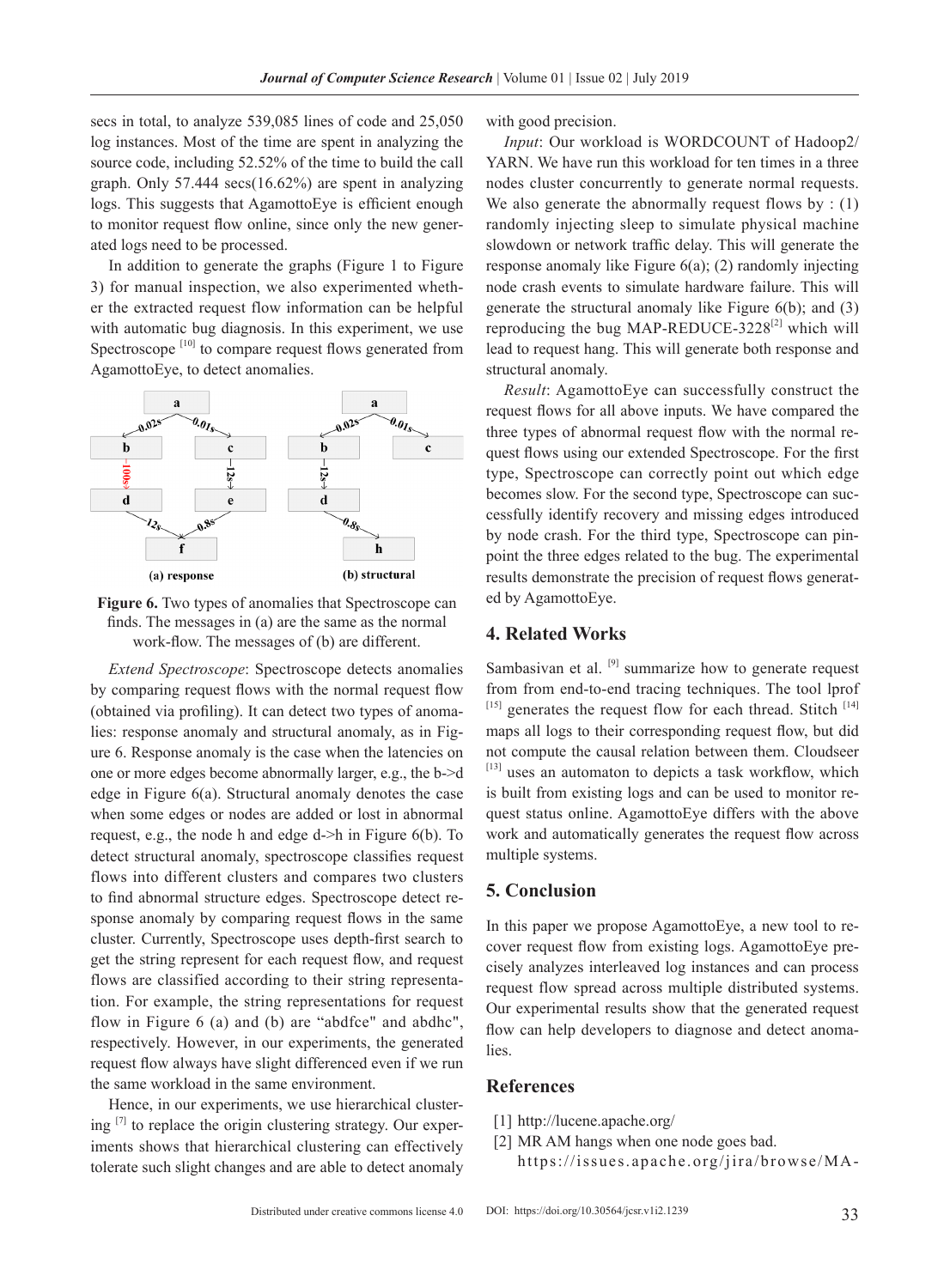secs in total, to analyze 539,085 lines of code and 25,050 log instances. Most of the time are spent in analyzing the source code, including 52.52% of the time to build the call graph. Only 57.444 secs(16.62%) are spent in analyzing logs. This suggests that AgamottoEye is efficient enough to monitor request flow online, since only the new generated logs need to be processed.

In addition to generate the graphs (Figure 1 to Figure 3) for manual inspection, we also experimented whether the extracted request flow information can be helpful with automatic bug diagnosis. In this experiment, we use Spectroscope<sup>[10]</sup> to compare request flows generated from AgamottoEye, to detect anomalies.



**Figure 6.** Two types of anomalies that Spectroscope can finds. The messages in (a) are the same as the normal work-flow. The messages of (b) are different.

*Extend Spectroscope*: Spectroscope detects anomalies by comparing request flows with the normal request flow (obtained via profiling). It can detect two types of anomalies: response anomaly and structural anomaly, as in Figure 6. Response anomaly is the case when the latencies on one or more edges become abnormally larger, e.g., the b->d edge in Figure 6(a). Structural anomaly denotes the case when some edges or nodes are added or lost in abnormal request, e.g., the node h and edge d->h in Figure 6(b). To detect structural anomaly, spectroscope classifies request flows into different clusters and compares two clusters to find abnormal structure edges. Spectroscope detect response anomaly by comparing request flows in the same cluster. Currently, Spectroscope uses depth-first search to get the string represent for each request flow, and request flows are classified according to their string representation. For example, the string representations for request flow in Figure 6 (a) and (b) are "abdfce" and abdhc", respectively. However, in our experiments, the generated request flow always have slight differenced even if we run the same workload in the same environment.

Hence, in our experiments, we use hierarchical clustering  $\left[7\right]$  to replace the origin clustering strategy. Our experiments shows that hierarchical clustering can effectively tolerate such slight changes and are able to detect anomaly with good precision.

*Input*: Our workload is WORDCOUNT of Hadoop2/ YARN. We have run this workload for ten times in a three nodes cluster concurrently to generate normal requests. We also generate the abnormally request flows by  $: (1)$ randomly injecting sleep to simulate physical machine slowdown or network traffic delay. This will generate the response anomaly like Figure 6(a); (2) randomly injecting node crash events to simulate hardware failure. This will generate the structural anomaly like Figure 6(b); and (3) reproducing the bug MAP-REDUCE-3228 $^{[2]}$  which will lead to request hang. This will generate both response and structural anomaly.

*Result*: AgamottoEye can successfully construct the request flows for all above inputs. We have compared the three types of abnormal request flow with the normal request flows using our extended Spectroscope. For the first type, Spectroscope can correctly point out which edge becomes slow. For the second type, Spectroscope can successfully identify recovery and missing edges introduced by node crash. For the third type, Spectroscope can pinpoint the three edges related to the bug. The experimental results demonstrate the precision of request flows generated by AgamottoEye.

## **4. Related Works**

Sambasivan et al. <sup>[9]</sup> summarize how to generate request from from end-to-end tracing techniques. The tool lprof  $^{[15]}$  generates the request flow for each thread. Stitch  $^{[14]}$ maps all logs to their corresponding request flow, but did not compute the causal relation between them. Cloudseer [13] uses an automaton to depicts a task workflow, which is built from existing logs and can be used to monitor request status online. AgamottoEye differs with the above work and automatically generates the request flow across multiple systems.

### **5. Conclusion**

In this paper we propose AgamottoEye, a new tool to recover request flow from existing logs. AgamottoEye precisely analyzes interleaved log instances and can process request flow spread across multiple distributed systems. Our experimental results show that the generated request flow can help developers to diagnose and detect anomalies.

## **References**

- [1] http://lucene.apache.org/
- [2] MR AM hangs when one node goes bad.
	- https://issues.apache.org/jira/browse/MA-